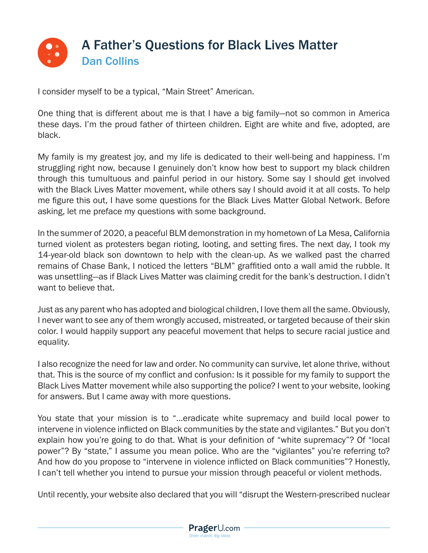

I consider myself to be a typical, "Main Street" American.

One thing that is different about me is that I have a big family—not so common in America these days. I'm the proud father of thirteen children. Eight are white and five, adopted, are black.

My family is my greatest joy, and my life is dedicated to their well-being and happiness. I'm struggling right now, because I genuinely don't know how best to support my black children through this tumultuous and painful period in our history. Some say I should get involved with the Black Lives Matter movement, while others say I should avoid it at all costs. To help me figure this out, I have some questions for the Black Lives Matter Global Network. Before asking, let me preface my questions with some background.

In the summer of 2020, a peaceful BLM demonstration in my hometown of La Mesa, California turned violent as protesters began rioting, looting, and setting fires. The next day, I took my 14-year-old black son downtown to help with the clean-up. As we walked past the charred remains of Chase Bank, I noticed the letters "BLM" graffitied onto a wall amid the rubble. It was unsettling—as if Black Lives Matter was claiming credit for the bank's destruction. I didn't want to believe that.

Just as any parent who has adopted and biological children, I love them all the same. Obviously, I never want to see any of them wrongly accused, mistreated, or targeted because of their skin color. I would happily support any peaceful movement that helps to secure racial justice and equality.

I also recognize the need for law and order. No community can survive, let alone thrive, without that. This is the source of my conflict and confusion: Is it possible for my family to support the Black Lives Matter movement while also supporting the police? I went to your website, looking for answers. But I came away with more questions.

You state that your mission is to "…eradicate white supremacy and build local power to intervene in violence inflicted on Black communities by the state and vigilantes." But you don't explain how you're going to do that. What is your definition of "white supremacy"? Of "local power"? By "state," I assume you mean police. Who are the "vigilantes" you're referring to? And how do you propose to "intervene in violence inflicted on Black communities"? Honestly, I can't tell whether you intend to pursue your mission through peaceful or violent methods.

Until recently, your website also declared that you will "disrupt the Western-prescribed nuclear